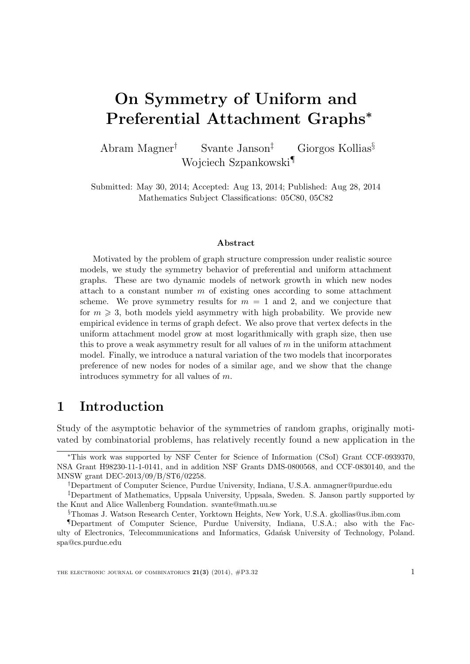# On Symmetry of Uniform and Preferential Attachment Graphs<sup>∗</sup>

Abram Magner† Svante Janson‡ Giorgos Kollias§ Wojciech Szpankowski¶

Submitted: May 30, 2014; Accepted: Aug 13, 2014; Published: Aug 28, 2014 Mathematics Subject Classifications: 05C80, 05C82

#### Abstract

Motivated by the problem of graph structure compression under realistic source models, we study the symmetry behavior of preferential and uniform attachment graphs. These are two dynamic models of network growth in which new nodes attach to a constant number  $m$  of existing ones according to some attachment scheme. We prove symmetry results for  $m = 1$  and 2, and we conjecture that for  $m \geq 3$ , both models yield asymmetry with high probability. We provide new empirical evidence in terms of graph defect. We also prove that vertex defects in the uniform attachment model grow at most logarithmically with graph size, then use this to prove a weak asymmetry result for all values of  $m$  in the uniform attachment model. Finally, we introduce a natural variation of the two models that incorporates preference of new nodes for nodes of a similar age, and we show that the change introduces symmetry for all values of m.

# 1 Introduction

Study of the asymptotic behavior of the symmetries of random graphs, originally motivated by combinatorial problems, has relatively recently found a new application in the

<sup>∗</sup>This work was supported by NSF Center for Science of Information (CSoI) Grant CCF-0939370, NSA Grant H98230-11-1-0141, and in addition NSF Grants DMS-0800568, and CCF-0830140, and the MNSW grant DEC-2013/09/B/ST6/02258.

<sup>†</sup>Department of Computer Science, Purdue University, Indiana, U.S.A. anmagner@purdue.edu

<sup>‡</sup>Department of Mathematics, Uppsala University, Uppsala, Sweden. S. Janson partly supported by the Knut and Alice Wallenberg Foundation. svante@math.uu.se

<sup>§</sup>Thomas J. Watson Research Center, Yorktown Heights, New York, U.S.A. gkollias@us.ibm.com

<sup>¶</sup>Department of Computer Science, Purdue University, Indiana, U.S.A.; also with the Faculty of Electronics, Telecommunications and Informatics, Gdańsk University of Technology, Poland. spa@cs.purdue.edu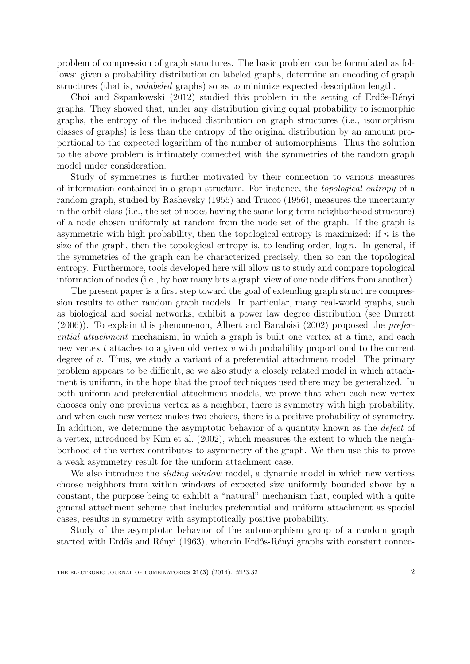problem of compression of graph structures. The basic problem can be formulated as follows: given a probability distribution on labeled graphs, determine an encoding of graph structures (that is, unlabeled graphs) so as to minimize expected description length.

[Choi and Szpankowski](#page-23-0) [\(2012\)](#page-23-0) studied this problem in the setting of Erdős-Rényi graphs. They showed that, under any distribution giving equal probability to isomorphic graphs, the entropy of the induced distribution on graph structures (i.e., isomorphism classes of graphs) is less than the entropy of the original distribution by an amount proportional to the expected logarithm of the number of automorphisms. Thus the solution to the above problem is intimately connected with the symmetries of the random graph model under consideration.

Study of symmetries is further motivated by their connection to various measures of information contained in a graph structure. For instance, the topological entropy of a random graph, studied by [Rashevsky](#page-23-1) [\(1955\)](#page-23-1) and [Trucco](#page-23-2) [\(1956\)](#page-23-2), measures the uncertainty in the orbit class (i.e., the set of nodes having the same long-term neighborhood structure) of a node chosen uniformly at random from the node set of the graph. If the graph is asymmetric with high probability, then the topological entropy is maximized: if  $n$  is the size of the graph, then the topological entropy is, to leading order,  $\log n$ . In general, if the symmetries of the graph can be characterized precisely, then so can the topological entropy. Furthermore, tools developed here will allow us to study and compare topological information of nodes (i.e., by how many bits a graph view of one node differs from another).

The present paper is a first step toward the goal of extending graph structure compression results to other random graph models. In particular, many real-world graphs, such as biological and social networks, exhibit a power law degree distribution (see [Durrett](#page-23-3)  $(2006)$ ). To explain this phenomenon, Albert and Barabási  $(2002)$  proposed the *prefer*ential attachment mechanism, in which a graph is built one vertex at a time, and each new vertex t attaches to a given old vertex  $v$  with probability proportional to the current degree of  $v$ . Thus, we study a variant of a preferential attachment model. The primary problem appears to be difficult, so we also study a closely related model in which attachment is uniform, in the hope that the proof techniques used there may be generalized. In both uniform and preferential attachment models, we prove that when each new vertex chooses only one previous vertex as a neighbor, there is symmetry with high probability, and when each new vertex makes two choices, there is a positive probability of symmetry. In addition, we determine the asymptotic behavior of a quantity known as the *defect* of a vertex, introduced by [Kim et al.](#page-23-4) [\(2002\)](#page-23-4), which measures the extent to which the neighborhood of the vertex contributes to asymmetry of the graph. We then use this to prove a weak asymmetry result for the uniform attachment case.

We also introduce the *sliding window* model, a dynamic model in which new vertices choose neighbors from within windows of expected size uniformly bounded above by a constant, the purpose being to exhibit a "natural" mechanism that, coupled with a quite general attachment scheme that includes preferential and uniform attachment as special cases, results in symmetry with asymptotically positive probability.

Study of the asymptotic behavior of the automorphism group of a random graph started with Erdős and Rényi [\(1963\)](#page-23-5), wherein Erdős-Rényi graphs with constant connec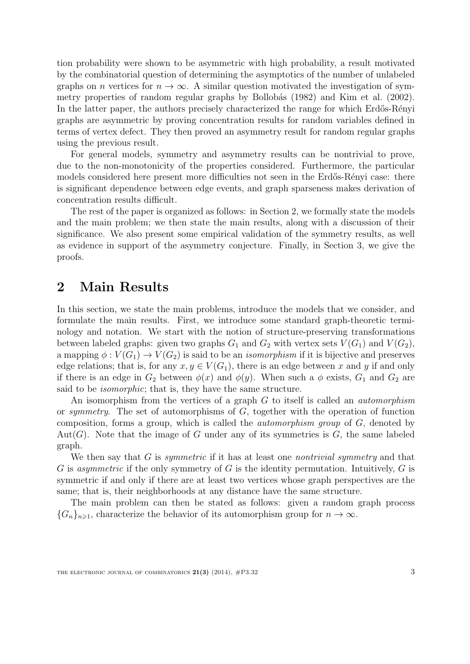tion probability were shown to be asymmetric with high probability, a result motivated by the combinatorial question of determining the asymptotics of the number of unlabeled graphs on n vertices for  $n \to \infty$ . A similar question motivated the investigation of sym-metry properties of random regular graphs by Bollobás [\(1982\)](#page-22-1) and [Kim et al.](#page-23-4) [\(2002\)](#page-23-4). In the latter paper, the authors precisely characterized the range for which Erdős-Rényi graphs are asymmetric by proving concentration results for random variables defined in terms of vertex defect. They then proved an asymmetry result for random regular graphs using the previous result.

For general models, symmetry and asymmetry results can be nontrivial to prove, due to the non-monotonicity of the properties considered. Furthermore, the particular models considered here present more difficulties not seen in the Erdős-Rényi case: there is significant dependence between edge events, and graph sparseness makes derivation of concentration results difficult.

The rest of the paper is organized as follows: in Section [2,](#page-2-0) we formally state the models and the main problem; we then state the main results, along with a discussion of their significance. We also present some empirical validation of the symmetry results, as well as evidence in support of the asymmetry conjecture. Finally, in Section [3,](#page-8-0) we give the proofs.

## <span id="page-2-0"></span>2 Main Results

In this section, we state the main problems, introduce the models that we consider, and formulate the main results. First, we introduce some standard graph-theoretic terminology and notation. We start with the notion of structure-preserving transformations between labeled graphs: given two graphs  $G_1$  and  $G_2$  with vertex sets  $V(G_1)$  and  $V(G_2)$ , a mapping  $\phi: V(G_1) \to V(G_2)$  is said to be an *isomorphism* if it is bijective and preserves edge relations; that is, for any  $x, y \in V(G_1)$ , there is an edge between x and y if and only if there is an edge in  $G_2$  between  $\phi(x)$  and  $\phi(y)$ . When such a  $\phi$  exists,  $G_1$  and  $G_2$  are said to be *isomorphic*; that is, they have the same structure.

An isomorphism from the vertices of a graph G to itself is called an *automorphism* or symmetry. The set of automorphisms of G, together with the operation of function composition, forms a group, which is called the *automorphism group* of  $G$ , denoted by Aut $(G)$ . Note that the image of G under any of its symmetries is G, the same labeled graph.

We then say that G is *symmetric* if it has at least one *nontrivial symmetry* and that G is asymmetric if the only symmetry of G is the identity permutation. Intuitively, G is symmetric if and only if there are at least two vertices whose graph perspectives are the same; that is, their neighborhoods at any distance have the same structure.

The main problem can then be stated as follows: given a random graph process  ${G_n}_{n\geq 1}$ , characterize the behavior of its automorphism group for  $n \to \infty$ .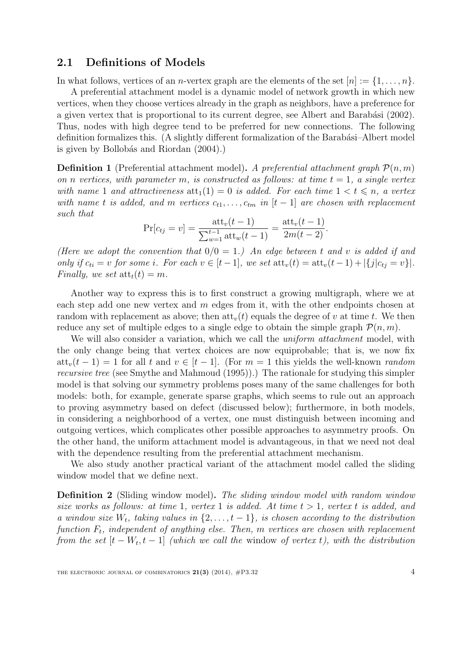#### 2.1 Definitions of Models

In what follows, vertices of an *n*-vertex graph are the elements of the set  $[n] := \{1, \ldots, n\}$ . A preferential attachment model is a dynamic model of network growth in which new vertices, when they choose vertices already in the graph as neighbors, have a preference for a given vertex that is proportional to its current degree, see Albert and Barabási [\(2002\)](#page-22-0). Thus, nodes with high degree tend to be preferred for new connections. The following definition formalizes this. (A slightly different formalization of the Barabási–Albert model is given by Bollobás and Riordan  $(2004)$ .)

**Definition 1** (Preferential attachment model). A preferential attachment graph  $\mathcal{P}(n,m)$ on n vertices, with parameter m, is constructed as follows: at time  $t = 1$ , a single vertex with name 1 and attractiveness  $\text{att}_1(1) = 0$  is added. For each time  $1 < t \leq n$ , a vertex with name t is added, and m vertices  $c_{t1}, \ldots, c_{tm}$  in  $[t-1]$  are chosen with replacement such that

$$
\Pr[c_{tj} = v] = \frac{\text{att}_v(t-1)}{\sum_{w=1}^{t-1} \text{att}_w(t-1)} = \frac{\text{att}_v(t-1)}{2m(t-2)}.
$$

(Here we adopt the convention that  $0/0 = 1$ .) An edge between t and v is added if and only if  $c_{ti} = v$  for some i. For each  $v \in [t-1]$ , we set  $\text{att}_v(t) = \text{att}_v(t-1) + |\{j|c_{ti} = v\}|$ . Finally, we set  $\text{att}_t(t) = m$ .

Another way to express this is to first construct a growing multigraph, where we at each step add one new vertex and  $m$  edges from it, with the other endpoints chosen at random with replacement as above; then  $\text{att}_v(t)$  equals the degree of v at time t. We then reduce any set of multiple edges to a single edge to obtain the simple graph  $\mathcal{P}(n, m)$ .

We will also consider a variation, which we call the *uniform attachment* model, with the only change being that vertex choices are now equiprobable; that is, we now fix att<sub>v</sub> $(t - 1) = 1$  for all t and  $v \in [t - 1]$ . (For  $m = 1$  this yields the well-known *random* recursive tree (see [Smythe and Mahmoud](#page-23-6) [\(1995\)](#page-23-6)).) The rationale for studying this simpler model is that solving our symmetry problems poses many of the same challenges for both models: both, for example, generate sparse graphs, which seems to rule out an approach to proving asymmetry based on defect (discussed below); furthermore, in both models, in considering a neighborhood of a vertex, one must distinguish between incoming and outgoing vertices, which complicates other possible approaches to asymmetry proofs. On the other hand, the uniform attachment model is advantageous, in that we need not deal with the dependence resulting from the preferential attachment mechanism.

We also study another practical variant of the attachment model called the sliding window model that we define next.

Definition 2 (Sliding window model). The sliding window model with random window size works as follows: at time 1, vertex 1 is added. At time  $t > 1$ , vertex t is added, and a window size  $W_t$ , taking values in  $\{2, \ldots, t-1\}$ , is chosen according to the distribution function  $F_t$ , independent of anything else. Then, m vertices are chosen with replacement from the set  $[t - W_t, t - 1]$  (which we call the window of vertex t), with the distribution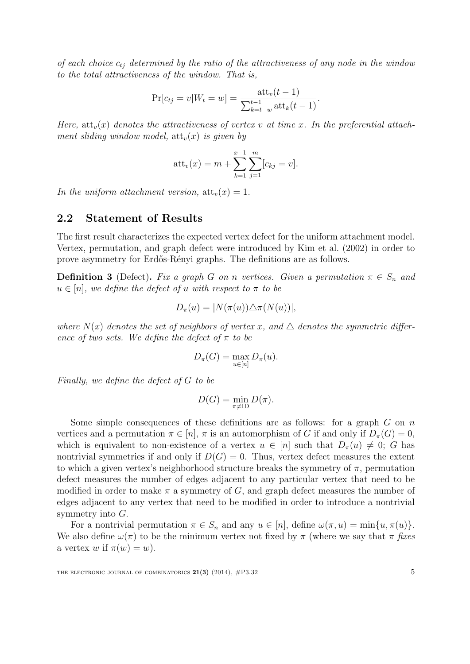of each choice  $c_{tj}$  determined by the ratio of the attractiveness of any node in the window to the total attractiveness of the window. That is,

$$
\Pr[c_{tj} = v | W_t = w] = \frac{\text{att}_v(t-1)}{\sum_{k=t-w}^{t-1} \text{att}_k(t-1)}.
$$

Here,  $\text{att}_v(x)$  denotes the attractiveness of vertex v at time x. In the preferential attachment sliding window model,  $\text{att}_v(x)$  is given by

$$
att_v(x) = m + \sum_{k=1}^{x-1} \sum_{j=1}^{m} [c_{kj} = v].
$$

In the uniform attachment version,  $\text{att}_v(x) = 1$ .

#### 2.2 Statement of Results

The first result characterizes the expected vertex defect for the uniform attachment model. Vertex, permutation, and graph defect were introduced by [Kim et al.](#page-23-4) [\(2002\)](#page-23-4) in order to prove asymmetry for Erd˝os-R´enyi graphs. The definitions are as follows.

**Definition 3** (Defect). Fix a graph G on n vertices. Given a permutation  $\pi \in S_n$  and  $u \in [n]$ , we define the defect of u with respect to  $\pi$  to be

$$
D_{\pi}(u) = |N(\pi(u)) \triangle \pi(N(u))|,
$$

where  $N(x)$  denotes the set of neighbors of vertex x, and  $\Delta$  denotes the symmetric difference of two sets. We define the defect of  $\pi$  to be

$$
D_{\pi}(G) = \max_{u \in [n]} D_{\pi}(u).
$$

Finally, we define the defect of G to be

$$
D(G) = \min_{\pi \neq \text{ID}} D(\pi).
$$

Some simple consequences of these definitions are as follows: for a graph  $G$  on  $n$ vertices and a permutation  $\pi \in [n]$ ,  $\pi$  is an automorphism of G if and only if  $D_{\pi}(G) = 0$ , which is equivalent to non-existence of a vertex  $u \in [n]$  such that  $D_{\pi}(u) \neq 0$ ; G has nontrivial symmetries if and only if  $D(G) = 0$ . Thus, vertex defect measures the extent to which a given vertex's neighborhood structure breaks the symmetry of  $\pi$ , permutation defect measures the number of edges adjacent to any particular vertex that need to be modified in order to make  $\pi$  a symmetry of G, and graph defect measures the number of edges adjacent to any vertex that need to be modified in order to introduce a nontrivial symmetry into G.

For a nontrivial permutation  $\pi \in S_n$  and any  $u \in [n]$ , define  $\omega(\pi, u) = \min\{u, \pi(u)\}.$ We also define  $\omega(\pi)$  to be the minimum vertex not fixed by  $\pi$  (where we say that  $\pi$  fixes a vertex w if  $\pi(w) = w$ .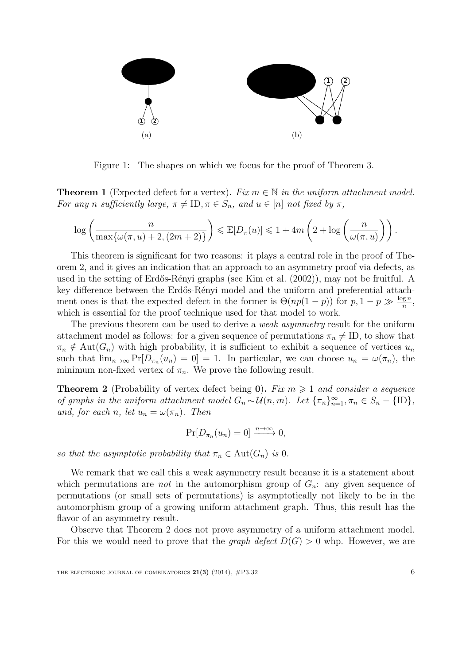

<span id="page-5-1"></span>Figure 1: The shapes on which we focus for the proof of Theorem [3.](#page-6-0)

<span id="page-5-2"></span>**Theorem 1** (Expected defect for a vertex). Fix  $m \in \mathbb{N}$  in the uniform attachment model. For any n sufficiently large,  $\pi \neq \text{ID}, \pi \in S_n$ , and  $u \in [n]$  not fixed by  $\pi$ ,

$$
\log\left(\frac{n}{\max\{\omega(\pi, u) + 2, (2m + 2)\}}\right) \leq \mathbb{E}[D_{\pi}(u)] \leq 1 + 4m\left(2 + \log\left(\frac{n}{\omega(\pi, u)}\right)\right).
$$

This theorem is significant for two reasons: it plays a central role in the proof of Theorem [2,](#page-5-0) and it gives an indication that an approach to an asymmetry proof via defects, as used in the setting of Erdős-Rényi graphs (see [Kim et al.](#page-23-4) [\(2002\)](#page-23-4)), may not be fruitful. A key difference between the Erdős-Rényi model and the uniform and preferential attachment ones is that the expected defect in the former is  $\Theta(np(1-p))$  for  $p, 1-p \gg \frac{\log n}{n}$ , which is essential for the proof technique used for that model to work.

The previous theorem can be used to derive a *weak asymmetry* result for the uniform attachment model as follows: for a given sequence of permutations  $\pi_n \neq \text{ID}$ , to show that  $\pi_n \notin \text{Aut}(G_n)$  with high probability, it is sufficient to exhibit a sequence of vertices  $u_n$ such that  $\lim_{n\to\infty} \Pr[D_{\pi_n}(u_n) = 0] = 1$ . In particular, we can choose  $u_n = \omega(\pi_n)$ , the minimum non-fixed vertex of  $\pi_n$ . We prove the following result.

<span id="page-5-0"></span>**Theorem 2** (Probability of vertex defect being 0). Fix  $m \ge 1$  and consider a sequence of graphs in the uniform attachment model  $G_n \sim \mathcal{U}(n,m)$ . Let  $\{\pi_n\}_{n=1}^{\infty}, \pi_n \in S_n - \{\text{ID}\},$ and, for each n, let  $u_n = \omega(\pi_n)$ . Then

$$
\Pr[D_{\pi_n}(u_n) = 0] \xrightarrow{n \to \infty} 0,
$$

so that the asymptotic probability that  $\pi_n \in \text{Aut}(G_n)$  is 0.

We remark that we call this a weak asymmetry result because it is a statement about which permutations are *not* in the automorphism group of  $G_n$ : any given sequence of permutations (or small sets of permutations) is asymptotically not likely to be in the automorphism group of a growing uniform attachment graph. Thus, this result has the flavor of an asymmetry result.

Observe that Theorem [2](#page-5-0) does not prove asymmetry of a uniform attachment model. For this we would need to prove that the *graph defect*  $D(G) > 0$  whp. However, we are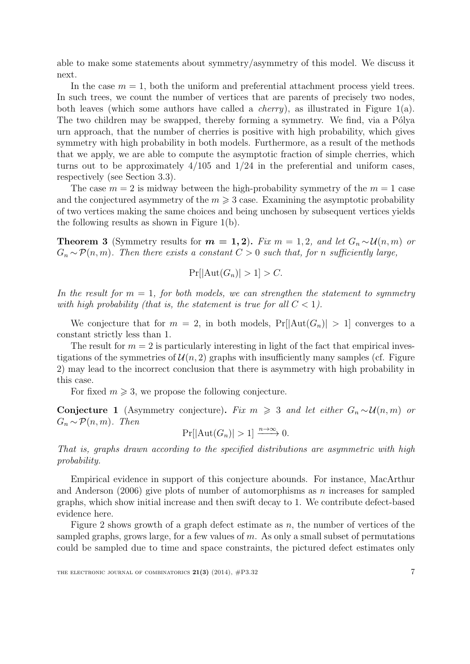able to make some statements about symmetry/asymmetry of this model. We discuss it next.

In the case  $m = 1$ , both the uniform and preferential attachment process yield trees. In such trees, we count the number of vertices that are parents of precisely two nodes, both leaves (which some authors have called a *cherry*), as illustrated in Figure [1\(](#page-5-1)a). The two children may be swapped, thereby forming a symmetry. We find, via a Pólya urn approach, that the number of cherries is positive with high probability, which gives symmetry with high probability in both models. Furthermore, as a result of the methods that we apply, we are able to compute the asymptotic fraction of simple cherries, which turns out to be approximately  $4/105$  and  $1/24$  in the preferential and uniform cases, respectively (see Section [3.3\)](#page-15-0).

The case  $m = 2$  is midway between the high-probability symmetry of the  $m = 1$  case and the conjectured asymmetry of the  $m \geqslant 3$  case. Examining the asymptotic probability of two vertices making the same choices and being unchosen by subsequent vertices yields the following results as shown in Figure [1\(](#page-5-1)b).

<span id="page-6-0"></span>**Theorem 3** (Symmetry results for  $m = 1, 2$ ). Fix  $m = 1, 2$ , and let  $G_n \sim \mathcal{U}(n, m)$  or  $G_n \sim \mathcal{P}(n,m)$ . Then there exists a constant  $C > 0$  such that, for n sufficiently large,

$$
\Pr[|\text{Aut}(G_n)| > 1] > C.
$$

In the result for  $m = 1$ , for both models, we can strengthen the statement to symmetry with high probability (that is, the statement is true for all  $C < 1$ ).

We conjecture that for  $m = 2$ , in both models,  $Pr[|Aut(G_n)| > 1]$  converges to a constant strictly less than 1.

The result for  $m = 2$  is particularly interesting in light of the fact that empirical investigations of the symmetries of  $\mathcal{U}(n, 2)$  graphs with insufficiently many samples (cf. Figure [2\)](#page-7-0) may lead to the incorrect conclusion that there is asymmetry with high probability in this case.

For fixed  $m \geqslant 3$ , we propose the following conjecture.

Conjecture 1 (Asymmetry conjecture). Fix  $m \geq 3$  and let either  $G_n \sim \mathcal{U}(n,m)$  or  $G_n \sim \mathcal{P}(n,m)$ . Then

$$
\Pr[|\text{Aut}(G_n)| > 1] \xrightarrow{n \to \infty} 0.
$$

That is, graphs drawn according to the specified distributions are asymmetric with high probability.

Empirical evidence in support of this conjecture abounds. For instance, [MacArthur](#page-23-7) [and Anderson](#page-23-7)  $(2006)$  give plots of number of automorphisms as n increases for sampled graphs, which show initial increase and then swift decay to 1. We contribute defect-based evidence here.

Figure [2](#page-7-0) shows growth of a graph defect estimate as  $n$ , the number of vertices of the sampled graphs, grows large, for a few values of  $m$ . As only a small subset of permutations could be sampled due to time and space constraints, the pictured defect estimates only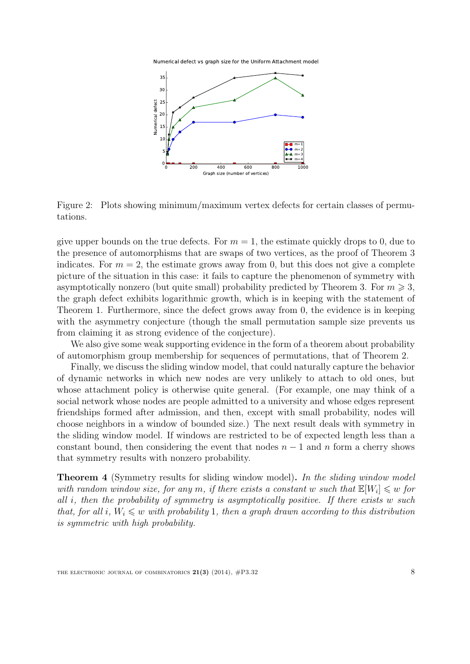Numerical defect vs graph size for the Uniform Attachment model



<span id="page-7-0"></span>Figure 2: Plots showing minimum/maximum vertex defects for certain classes of permutations.

give upper bounds on the true defects. For  $m = 1$ , the estimate quickly drops to 0, due to the presence of automorphisms that are swaps of two vertices, as the proof of Theorem [3](#page-6-0) indicates. For  $m = 2$ , the estimate grows away from 0, but this does not give a complete picture of the situation in this case: it fails to capture the phenomenon of symmetry with asymptotically nonzero (but quite small) probability predicted by Theorem [3.](#page-6-0) For  $m \geqslant 3$ , the graph defect exhibits logarithmic growth, which is in keeping with the statement of Theorem [1.](#page-5-2) Furthermore, since the defect grows away from 0, the evidence is in keeping with the asymmetry conjecture (though the small permutation sample size prevents us from claiming it as strong evidence of the conjecture).

We also give some weak supporting evidence in the form of a theorem about probability of automorphism group membership for sequences of permutations, that of Theorem [2.](#page-5-0)

Finally, we discuss the sliding window model, that could naturally capture the behavior of dynamic networks in which new nodes are very unlikely to attach to old ones, but whose attachment policy is otherwise quite general. (For example, one may think of a social network whose nodes are people admitted to a university and whose edges represent friendships formed after admission, and then, except with small probability, nodes will choose neighbors in a window of bounded size.) The next result deals with symmetry in the sliding window model. If windows are restricted to be of expected length less than a constant bound, then considering the event that nodes  $n-1$  and n form a cherry shows that symmetry results with nonzero probability.

<span id="page-7-1"></span>**Theorem 4** (Symmetry results for sliding window model). In the sliding window model with random window size, for any m, if there exists a constant w such that  $\mathbb{E}[W_i] \leq w$  for all i, then the probability of symmetry is asymptotically positive. If there exists w such that, for all i,  $W_i \leq w$  with probability 1, then a graph drawn according to this distribution is symmetric with high probability.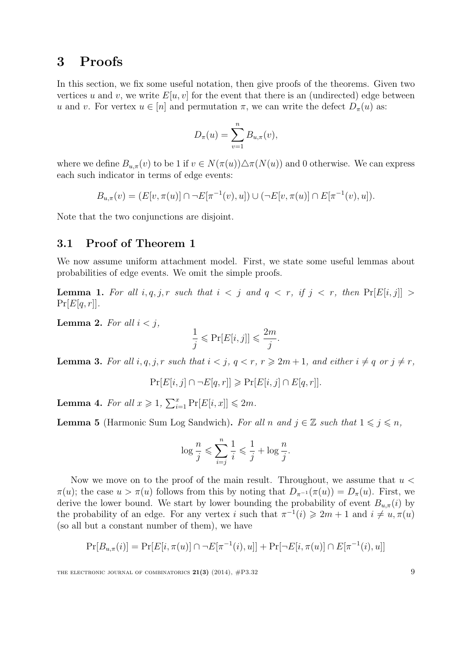## <span id="page-8-0"></span>3 Proofs

In this section, we fix some useful notation, then give proofs of the theorems. Given two vertices u and v, we write  $E[u, v]$  for the event that there is an (undirected) edge between u and v. For vertex  $u \in [n]$  and permutation  $\pi$ , we can write the defect  $D_{\pi}(u)$  as:

$$
D_{\pi}(u) = \sum_{v=1}^{n} B_{u,\pi}(v),
$$

where we define  $B_{u,\pi}(v)$  to be 1 if  $v \in N(\pi(u)) \triangle \pi(N(u))$  and 0 otherwise. We can express each such indicator in terms of edge events:

$$
B_{u,\pi}(v) = (E[v,\pi(u)] \cap \neg E[\pi^{-1}(v),u]) \cup (\neg E[v,\pi(u)] \cap E[\pi^{-1}(v),u]).
$$

Note that the two conjunctions are disjoint.

## 3.1 Proof of Theorem [1](#page-5-2)

We now assume uniform attachment model. First, we state some useful lemmas about probabilities of edge events. We omit the simple proofs.

<span id="page-8-5"></span>**Lemma 1.** For all  $i, q, j, r$  such that  $i < j$  and  $q < r$ , if  $j < r$ , then  $Pr[E[i, j]] >$  $Pr[E[q, r]].$ 

<span id="page-8-2"></span>**Lemma 2.** For all  $i < j$ ,

$$
\frac{1}{j} \leqslant \Pr[E[i,j]] \leqslant \frac{2m}{j}.
$$

<span id="page-8-1"></span>**Lemma 3.** For all  $i, q, j, r$  such that  $i < j, q < r, r \geq 2m + 1$ , and either  $i \neq q$  or  $j \neq r$ ,

 $\Pr[E[i, j] \cap \neg E[q, r]] \geqslant \Pr[E[i, j] \cap E[q, r]].$ 

<span id="page-8-4"></span>**Lemma 4.** For all  $x \ge 1$ ,  $\sum_{i=1}^{x} Pr[E[i, x]] \le 2m$ .

<span id="page-8-3"></span>**Lemma 5** (Harmonic Sum Log Sandwich). For all n and  $j \in \mathbb{Z}$  such that  $1 \leq j \leq n$ ,

$$
\log \frac{n}{j} \leqslant \sum_{i=j}^{n} \frac{1}{i} \leqslant \frac{1}{j} + \log \frac{n}{j}.
$$

Now we move on to the proof of the main result. Throughout, we assume that  $u <$  $\pi(u)$ ; the case  $u > \pi(u)$  follows from this by noting that  $D_{\pi^{-1}}(\pi(u)) = D_{\pi}(u)$ . First, we derive the lower bound. We start by lower bounding the probability of event  $B_{u,\pi}(i)$  by the probability of an edge. For any vertex i such that  $\pi^{-1}(i) \geq 2m + 1$  and  $i \neq u, \pi(u)$ (so all but a constant number of them), we have

$$
Pr[B_{u,\pi}(i)] = Pr[E[i,\pi(u)] \cap \neg E[\pi^{-1}(i),u]] + Pr[\neg E[i,\pi(u)] \cap E[\pi^{-1}(i),u]]
$$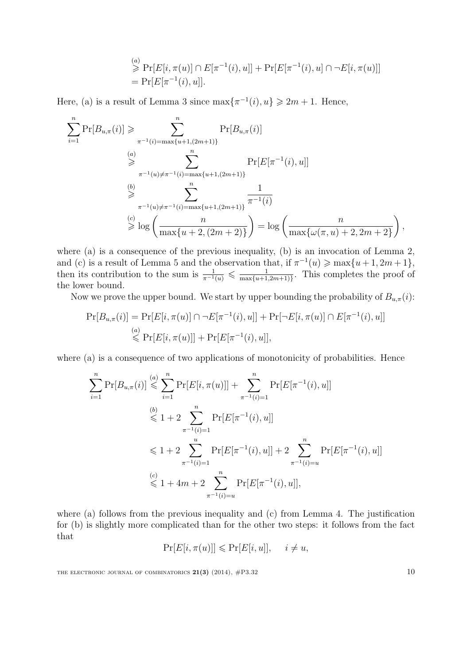$$
\overset{(a)}{\geq} \Pr[E[i, \pi(u)] \cap E[\pi^{-1}(i), u]] + \Pr[E[\pi^{-1}(i), u] \cap \neg E[i, \pi(u)]]
$$
  
= 
$$
\Pr[E[\pi^{-1}(i), u]].
$$

Here, (a) is a result of Lemma [3](#page-8-1) since  $\max\{\pi^{-1}(i), u\} \geq 2m + 1$ . Hence,

$$
\sum_{i=1}^{n} \Pr[B_{u,\pi}(i)] \geqslant \sum_{\substack{\pi^{-1}(i) = \max\{u+1,(2m+1)\} \\ \text{if } u \neq \pi^{-1}(i) = \max\{u+1,(2m+1)\}}} \Pr[B_{u,\pi}(i)]
$$
\n
$$
\sum_{\substack{\pi^{-1}(u) \neq \pi^{-1}(i) = \max\{u+1,(2m+1)\} \\ \text{if } u \neq \pi^{-1}(i) = \max\{u+1,(2m+1)\}}} \Pr[E[\pi^{-1}(i), u]]
$$
\n
$$
\sum_{\substack{\pi^{-1}(u) \neq \pi^{-1}(i) = \max\{u+1,(2m+1)\} \\ \text{if } u \neq \pi^{-1}(i) = \max\{u+1,(2m+1)\}}} \frac{1}{\pi^{-1}(i)}
$$
\n
$$
\sum_{\substack{\pi \text{ is odd}}}^{\infty} \log \left( \frac{n}{\max\{u+2,(2m+2)\}} \right) = \log \left( \frac{n}{\max\{\omega(\pi, u) + 2, 2m + 2\}} \right),
$$

where (a) is a consequence of the previous inequality, (b) is an invocation of Lemma [2,](#page-8-2) and (c) is a result of Lemma [5](#page-8-3) and the observation that, if  $\pi^{-1}(u) \ge \max\{u+1, 2m+1\}$ , then its contribution to the sum is  $\frac{1}{\pi^{-1}(u)} \leq \frac{1}{\max\{u+1\}}$  $\frac{1}{\max\{u+1,2m+1\}}$ . This completes the proof of the lower bound.

Now we prove the upper bound. We start by upper bounding the probability of  $B_{u,\pi}(i)$ :

$$
\Pr[B_{u,\pi}(i)] = \Pr[E[i,\pi(u)] \cap \neg E[\pi^{-1}(i),u]] + \Pr[\neg E[i,\pi(u)] \cap E[\pi^{-1}(i),u]]
$$
  
\n
$$
\leq \Pr[E[i,\pi(u)]] + \Pr[E[\pi^{-1}(i),u]],
$$

where (a) is a consequence of two applications of monotonicity of probabilities. Hence

$$
\sum_{i=1}^{n} \Pr[B_{u,\pi}(i)] \leqslant \sum_{i=1}^{n} \Pr[E[i,\pi(u)]] + \sum_{\pi^{-1}(i)=1}^{n} \Pr[E[\pi^{-1}(i),u]]
$$
\n
$$
\leqslant 1 + 2 \sum_{\pi^{-1}(i)=1}^{n} \Pr[E[\pi^{-1}(i),u]]
$$
\n
$$
\leqslant 1 + 2 \sum_{\pi^{-1}(i)=1}^{u} \Pr[E[\pi^{-1}(i),u]] + 2 \sum_{\pi^{-1}(i)=u}^{n} \Pr[E[\pi^{-1}(i),u]]
$$
\n
$$
\leqslant 1 + 4m + 2 \sum_{\pi^{-1}(i)=u}^{n} \Pr[E[\pi^{-1}(i),u]],
$$

where (a) follows from the previous inequality and (c) from Lemma [4.](#page-8-4) The justification for (b) is slightly more complicated than for the other two steps: it follows from the fact that

$$
\Pr[E[i, \pi(u)]] \leqslant \Pr[E[i, u]], \quad i \neq u,
$$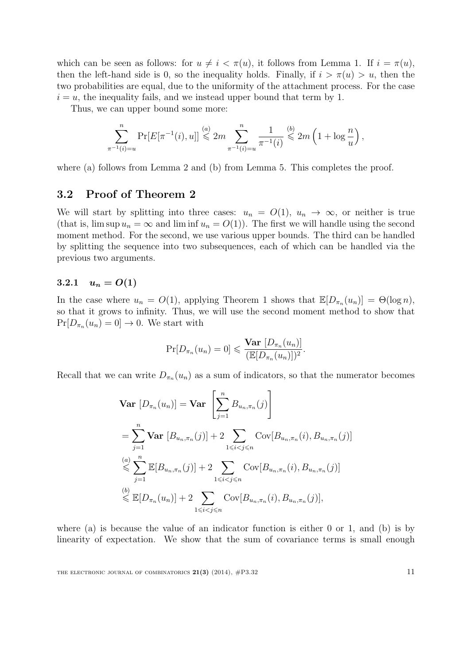which can be seen as follows: for  $u \neq i < \pi(u)$ , it follows from Lemma [1.](#page-8-5) If  $i = \pi(u)$ , then the left-hand side is 0, so the inequality holds. Finally, if  $i > \pi(u) > u$ , then the two probabilities are equal, due to the uniformity of the attachment process. For the case  $i = u$ , the inequality fails, and we instead upper bound that term by 1.

Thus, we can upper bound some more:

$$
\sum_{\pi^{-1}(i)=u}^{n} \Pr[E[\pi^{-1}(i),u]] \stackrel{(a)}{\leq} 2m \sum_{\pi^{-1}(i)=u}^{n} \frac{1}{\pi^{-1}(i)} \stackrel{(b)}{\leq} 2m \left(1 + \log \frac{n}{u}\right),
$$

where (a) follows from Lemma [2](#page-8-2) and (b) from Lemma [5.](#page-8-3) This completes the proof.

## 3.2 Proof of Theorem [2](#page-5-0)

We will start by splitting into three cases:  $u_n = O(1)$ ,  $u_n \to \infty$ , or neither is true (that is,  $\limsup u_n = \infty$  and  $\liminf u_n = O(1)$ ). The first we will handle using the second moment method. For the second, we use various upper bounds. The third can be handled by splitting the sequence into two subsequences, each of which can be handled via the previous two arguments.

## 3.2.1  $u_n = O(1)$

In the case where  $u_n = O(1)$  $u_n = O(1)$  $u_n = O(1)$ , applying Theorem 1 shows that  $\mathbb{E}[D_{\pi_n}(u_n)] = \Theta(\log n)$ , so that it grows to infinity. Thus, we will use the second moment method to show that  $Pr[D_{\pi_n}(u_n) = 0] \to 0$ . We start with

$$
\Pr[D_{\pi_n}(u_n) = 0] \leqslant \frac{\text{Var}[D_{\pi_n}(u_n)]}{(\mathbb{E}[D_{\pi_n}(u_n)])^2}.
$$

Recall that we can write  $D_{\pi_n}(u_n)$  as a sum of indicators, so that the numerator becomes

$$
\begin{split}\n\textbf{Var}\left[D_{\pi_n}(u_n)\right] &= \textbf{Var}\left[\sum_{j=1}^n B_{u_n,\pi_n}(j)\right] \\
&= \sum_{j=1}^n \textbf{Var}\left[B_{u_n,\pi_n}(j)\right] + 2 \sum_{1 \leq i < j \leq n} \text{Cov}[B_{u_n,\pi_n}(i), B_{u_n,\pi_n}(j)] \\
&\leqslant \sum_{j=1}^n \mathbb{E}[B_{u_n,\pi_n}(j)] + 2 \sum_{1 \leq i < j \leq n} \text{Cov}[B_{u_n,\pi_n}(i), B_{u_n,\pi_n}(j)] \\
&\leqslant \mathbb{E}[D_{\pi_n}(u_n)] + 2 \sum_{1 \leqslant i < j \leqslant n} \text{Cov}[B_{u_n,\pi_n}(i), B_{u_n,\pi_n}(j)],\n\end{split}
$$

where (a) is because the value of an indicator function is either  $0$  or  $1$ , and (b) is by linearity of expectation. We show that the sum of covariance terms is small enough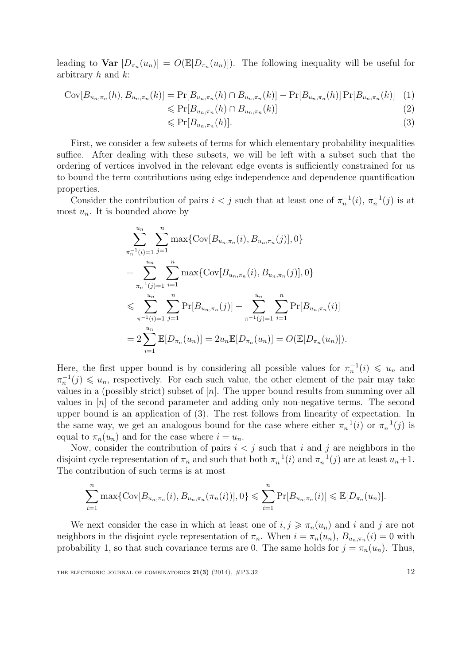leading to  $\text{Var}[D_{\pi_n}(u_n)] = O(\mathbb{E}[D_{\pi_n}(u_n)])$ . The following inequality will be useful for arbitrary  $h$  and  $k$ :

$$
Cov[B_{u_n,\pi_n}(h), B_{u_n,\pi_n}(k)] = Pr[B_{u_n,\pi_n}(h) \cap B_{u_n,\pi_n}(k)] - Pr[B_{u_n,\pi_n}(h)] Pr[B_{u_n,\pi_n}(k)] \tag{2}
$$

$$
\leqslant \Pr[B_{u_n,\pi_n}(h) \cap B_{u_n,\pi_n}(k)] \tag{2}
$$

<span id="page-11-0"></span>
$$
\leqslant \Pr[B_{u_n,\pi_n}(h)].\tag{3}
$$

First, we consider a few subsets of terms for which elementary probability inequalities suffice. After dealing with these subsets, we will be left with a subset such that the ordering of vertices involved in the relevant edge events is sufficiently constrained for us to bound the term contributions using edge independence and dependence quantification properties.

Consider the contribution of pairs  $i < j$  such that at least one of  $\pi_n^{-1}(i)$ ,  $\pi_n^{-1}(j)$  is at most  $u_n$ . It is bounded above by

$$
\sum_{\substack{\pi_n^{-1}(i)=1\\ \pi_n^{-1}(j)=1}}^{u_n} \sum_{j=1}^n \max\{ \text{Cov}[B_{u_n,\pi_n}(i), B_{u_n,\pi_n}(j)], 0 \}
$$
  
+ 
$$
\sum_{\substack{\pi_n^{-1}(j)=1\\ \pi^{-1}(i)=1}}^{u_n} \sum_{j=1}^n \max\{ \text{Cov}[B_{u_n,\pi_n}(i), B_{u_n,\pi_n}(j)], 0 \}
$$
  

$$
\leqslant \sum_{\pi^{-1}(i)=1}^{u_n} \sum_{j=1}^n \text{Pr}[B_{u_n,\pi_n}(j)] + \sum_{\pi^{-1}(j)=1}^{u_n} \sum_{i=1}^n \text{Pr}[B_{u_n,\pi_n}(i)]
$$
  
= 
$$
2 \sum_{i=1}^{u_n} \mathbb{E}[D_{\pi_n}(u_n)] = 2u_n \mathbb{E}[D_{\pi_n}(u_n)] = O(\mathbb{E}[D_{\pi_n}(u_n)]).
$$

Here, the first upper bound is by considering all possible values for  $\pi_n^{-1}(i) \leq u_n$  and  $\pi_n^{-1}(j) \leq u_n$ , respectively. For each such value, the other element of the pair may take values in a (possibly strict) subset of  $[n]$ . The upper bound results from summing over all values in  $[n]$  of the second parameter and adding only non-negative terms. The second upper bound is an application of [\(3\)](#page-11-0). The rest follows from linearity of expectation. In the same way, we get an analogous bound for the case where either  $\pi_n^{-1}(i)$  or  $\pi_n^{-1}(j)$  is equal to  $\pi_n(u_n)$  and for the case where  $i = u_n$ .

Now, consider the contribution of pairs  $i < j$  such that i and j are neighbors in the disjoint cycle representation of  $\pi_n$  and such that both  $\pi_n^{-1}(i)$  and  $\pi_n^{-1}(j)$  are at least  $u_n+1$ . The contribution of such terms is at most

$$
\sum_{i=1}^{n} \max \{ \text{Cov}[B_{u_n,\pi_n}(i), B_{u_n,\pi_n}(\pi_n(i))], 0 \} \leq \sum_{i=1}^{n} \Pr[B_{u_n,\pi_n}(i)] \leq \mathbb{E}[D_{\pi_n}(u_n)].
$$

We next consider the case in which at least one of  $i, j \geq \pi_n(u_n)$  and i and j are not neighbors in the disjoint cycle representation of  $\pi_n$ . When  $i = \pi_n(u_n)$ ,  $B_{u_n, \pi_n}(i) = 0$  with probability 1, so that such covariance terms are 0. The same holds for  $j = \pi_n(u_n)$ . Thus,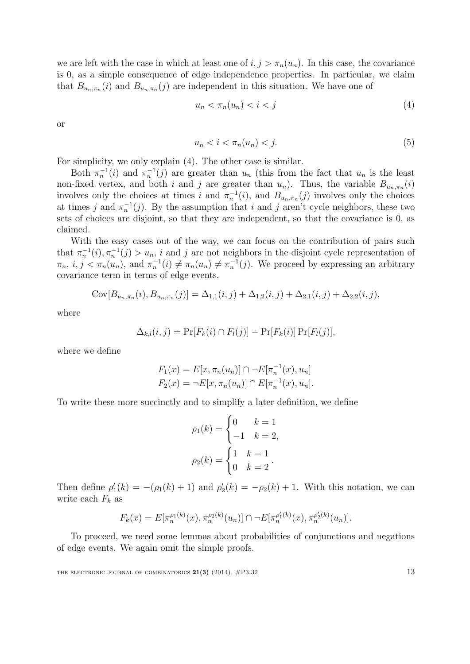we are left with the case in which at least one of  $i, j > \pi_n(u_n)$ . In this case, the covariance is 0, as a simple consequence of edge independence properties. In particular, we claim that  $B_{u_n,\pi_n}(i)$  and  $B_{u_n,\pi_n}(j)$  are independent in this situation. We have one of

<span id="page-12-0"></span>
$$
u_n < \pi_n(u_n) < i < j \tag{4}
$$

or

$$
u_n < i < \pi_n(u_n) < j. \tag{5}
$$

For simplicity, we only explain [\(4\)](#page-12-0). The other case is similar.

Both  $\pi_n^{-1}(i)$  and  $\pi_n^{-1}(j)$  are greater than  $u_n$  (this from the fact that  $u_n$  is the least non-fixed vertex, and both i and j are greater than  $u_n$ ). Thus, the variable  $B_{u_n,\pi_n}(i)$ involves only the choices at times i and  $\pi_n^{-1}(i)$ , and  $B_{u_n,\pi_n}(j)$  involves only the choices at times j and  $\pi_n^{-1}(j)$ . By the assumption that i and j aren't cycle neighbors, these two sets of choices are disjoint, so that they are independent, so that the covariance is 0, as claimed.

With the easy cases out of the way, we can focus on the contribution of pairs such that  $\pi_n^{-1}(i), \pi_n^{-1}(j) > u_n$ , i and j are not neighbors in the disjoint cycle representation of  $\pi_n$ ,  $i, j < \pi_n(u_n)$ , and  $\pi_n^{-1}(i) \neq \pi_n(u_n) \neq \pi_n^{-1}(j)$ . We proceed by expressing an arbitrary covariance term in terms of edge events.

$$
Cov[B_{u_n,\pi_n}(i), B_{u_n,\pi_n}(j)] = \Delta_{1,1}(i,j) + \Delta_{1,2}(i,j) + \Delta_{2,1}(i,j) + \Delta_{2,2}(i,j),
$$

where

$$
\Delta_{k,l}(i,j) = \Pr[F_k(i) \cap F_l(j)] - \Pr[F_k(i)] \Pr[F_l(j)],
$$

where we define

$$
F_1(x) = E[x, \pi_n(u_n)] \cap \neg E[\pi_n^{-1}(x), u_n]
$$
  

$$
F_2(x) = \neg E[x, \pi_n(u_n)] \cap E[\pi_n^{-1}(x), u_n].
$$

To write these more succinctly and to simplify a later definition, we define

$$
\rho_1(k) = \begin{cases} 0 & k = 1 \\ -1 & k = 2, \end{cases}
$$

$$
\rho_2(k) = \begin{cases} 1 & k = 1 \\ 0 & k = 2 \end{cases}.
$$

Then define  $\rho'_1(k) = -(\rho_1(k) + 1)$  and  $\rho'_2(k) = -\rho_2(k) + 1$ . With this notation, we can write each  $F_k$  as

$$
F_k(x) = E[\pi_n^{\rho_1(k)}(x), \pi_n^{\rho_2(k)}(u_n)] \cap \neg E[\pi_n^{\rho_1'(k)}(x), \pi_n^{\rho_2'(k)}(u_n)].
$$

To proceed, we need some lemmas about probabilities of conjunctions and negations of edge events. We again omit the simple proofs.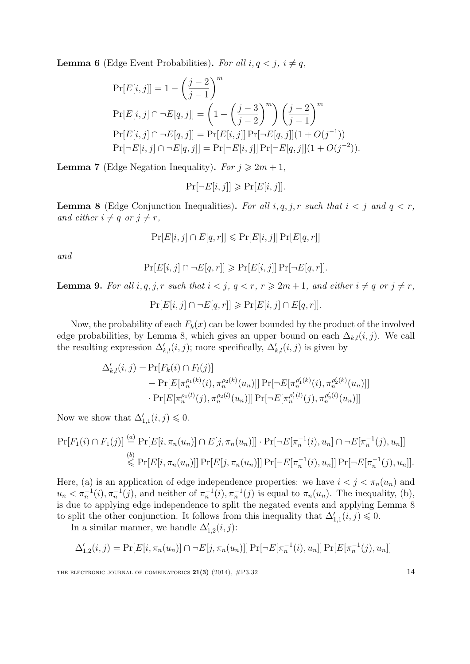<span id="page-13-1"></span>**Lemma 6** (Edge Event Probabilities). For all  $i, q < j, i \neq q$ ,

$$
Pr[E[i,j]] = 1 - \left(\frac{j-2}{j-1}\right)^m
$$
  
\n
$$
Pr[E[i,j] \cap \neg E[q,j]] = \left(1 - \left(\frac{j-3}{j-2}\right)^m\right) \left(\frac{j-2}{j-1}\right)^m
$$
  
\n
$$
Pr[E[i,j] \cap \neg E[q,j]] = Pr[E[i,j]] Pr[\neg E[q,j]](1 + O(j^{-1}))
$$
  
\n
$$
Pr[\neg E[i,j] \cap \neg E[q,j]] = Pr[\neg E[i,j]] Pr[\neg E[q,j]](1 + O(j^{-2})).
$$

**Lemma 7** (Edge Negation Inequality). For  $j \ge 2m + 1$ ,

$$
\Pr[\neg E[i,j]] \geqslant \Pr[E[i,j]].
$$

<span id="page-13-0"></span>**Lemma 8** (Edge Conjunction Inequalities). For all  $i, q, j, r$  such that  $i < j$  and  $q < r$ , and either  $i \neq q$  or  $j \neq r$ ,

$$
\Pr[E[i,j] \cap E[q,r]] \leqslant \Pr[E[i,j]] \Pr[E[q,r]]
$$

and

$$
\Pr[E[i,j] \cap \neg E[q,r]] \geqslant \Pr[E[i,j]] \Pr[\neg E[q,r]].
$$

**Lemma 9.** For all  $i, q, j, r$  such that  $i < j, q < r, r \ge 2m + 1$ , and either  $i \ne q$  or  $j \ne r$ ,

$$
\Pr[E[i,j] \cap \neg E[q,r]] \geqslant \Pr[E[i,j] \cap E[q,r]].
$$

Now, the probability of each  $F_k(x)$  can be lower bounded by the product of the involved edge probabilities, by Lemma [8,](#page-13-0) which gives an upper bound on each  $\Delta_{k,l}(i,j)$ . We call the resulting expression  $\Delta'_{k,l}(i,j)$ ; more specifically,  $\Delta'_{k,l}(i,j)$  is given by

$$
\Delta'_{k,l}(i,j) = \Pr[F_k(i) \cap F_l(j)]
$$
  
- 
$$
\Pr[E[\pi_n^{\rho_1(k)}(i), \pi_n^{\rho_2(k)}(u_n)]] \Pr[\neg E[\pi_n^{\rho'_1(k)}(i), \pi_n^{\rho'_2(k)}(u_n)]]
$$
  
\n
$$
\cdot \Pr[E[\pi_n^{\rho_1(l)}(j), \pi_n^{\rho_2(l)}(u_n)]] \Pr[\neg E[\pi_n^{\rho'_1(l)}(j), \pi_n^{\rho'_2(l)}(u_n)]]
$$

Now we show that  $\Delta'_{1,1}(i,j) \leq 0$ .

$$
\Pr[F_1(i) \cap F_1(j)] \stackrel{(a)}{=} \Pr[E[i, \pi_n(u_n)] \cap E[j, \pi_n(u_n)]] \cdot \Pr[\neg E[\pi_n^{-1}(i), u_n] \cap \neg E[\pi_n^{-1}(j), u_n]]
$$
  

$$
\stackrel{(b)}{\leq} \Pr[E[i, \pi_n(u_n)]] \Pr[E[j, \pi_n(u_n)]] \Pr[\neg E[\pi_n^{-1}(i), u_n]] \Pr[\neg E[\pi_n^{-1}(j), u_n]].
$$

Here, (a) is an application of edge independence properties: we have  $i < j < \pi_n(u_n)$  and  $u_n < \pi_n^{-1}(i), \pi_n^{-1}(j)$ , and neither of  $\pi_n^{-1}(i), \pi_n^{-1}(j)$  is equal to  $\pi_n(u_n)$ . The inequality, (b), is due to applying edge independence to split the negated events and applying Lemma [8](#page-13-0) to split the other conjunction. It follows from this inequality that  $\Delta'_{1,1}(i,j) \leq 0$ .

In a similar manner, we handle  $\Delta'_{1,2}(i,j)$ :

$$
\Delta'_{1,2}(i,j) = \Pr[E[i, \pi_n(u_n)] \cap \neg E[j, \pi_n(u_n)]] \Pr[\neg E[\pi_n^{-1}(i), u_n]] \Pr[E[\pi_n^{-1}(j), u_n]]
$$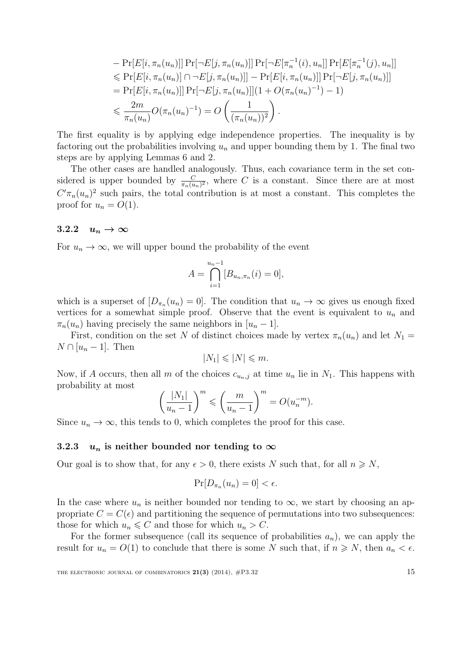$$
- \Pr[E[i, \pi_n(u_n)]] \Pr[\neg E[j, \pi_n(u_n)]] \Pr[\neg E[\pi_n^{-1}(i), u_n]] \Pr[E[\pi_n^{-1}(j), u_n]]
$$
  
\n
$$
\leq \Pr[E[i, \pi_n(u_n)] \cap \neg E[j, \pi_n(u_n)]] - \Pr[E[i, \pi_n(u_n)]] \Pr[\neg E[j, \pi_n(u_n)]]
$$
  
\n
$$
= \Pr[E[i, \pi_n(u_n)]] \Pr[\neg E[j, \pi_n(u_n)]] (1 + O(\pi_n(u_n)^{-1}) - 1)
$$
  
\n
$$
\leq \frac{2m}{\pi_n(u_n)} O(\pi_n(u_n)^{-1}) = O\left(\frac{1}{(\pi_n(u_n))^2}\right).
$$

The first equality is by applying edge independence properties. The inequality is by factoring out the probabilities involving  $u_n$  and upper bounding them by 1. The final two steps are by applying Lemmas [6](#page-13-1) and [2.](#page-8-2)

The other cases are handled analogously. Thus, each covariance term in the set considered is upper bounded by  $\frac{C}{\pi_n(u_n)^2}$ , where C is a constant. Since there are at most  $C'\pi_n(u_n)^2$  such pairs, the total contribution is at most a constant. This completes the proof for  $u_n = O(1)$ .

#### 3.2.2  $u_n \to \infty$

For  $u_n \to \infty$ , we will upper bound the probability of the event

$$
A = \bigcap_{i=1}^{u_n - 1} [B_{u_n, \pi_n}(i) = 0],
$$

which is a superset of  $[D_{\pi_n}(u_n) = 0]$ . The condition that  $u_n \to \infty$  gives us enough fixed vertices for a somewhat simple proof. Observe that the event is equivalent to  $u_n$  and  $\pi_n(u_n)$  having precisely the same neighbors in  $[u_n-1]$ .

First, condition on the set N of distinct choices made by vertex  $\pi_n(u_n)$  and let  $N_1 =$  $N \cap [u_n-1]$ . Then

$$
|N_1| \leqslant |N| \leqslant m.
$$

Now, if A occurs, then all m of the choices  $c_{u_n,j}$  at time  $u_n$  lie in  $N_1$ . This happens with probability at most

$$
\left(\frac{|N_1|}{u_n-1}\right)^m \leqslant \left(\frac{m}{u_n-1}\right)^m = O(u_n^{-m}).
$$

Since  $u_n \to \infty$ , this tends to 0, which completes the proof for this case.

#### 3.2.3  $u_n$  is neither bounded nor tending to  $\infty$

Our goal is to show that, for any  $\epsilon > 0$ , there exists N such that, for all  $n \geq N$ ,

$$
\Pr[D_{\pi_n}(u_n) = 0] < \epsilon.
$$

In the case where  $u_n$  is neither bounded nor tending to  $\infty$ , we start by choosing an appropriate  $C = C(\epsilon)$  and partitioning the sequence of permutations into two subsequences: those for which  $u_n \leq C$  and those for which  $u_n > C$ .

For the former subsequence (call its sequence of probabilities  $a_n$ ), we can apply the result for  $u_n = O(1)$  to conclude that there is some N such that, if  $n \geq N$ , then  $a_n < \epsilon$ .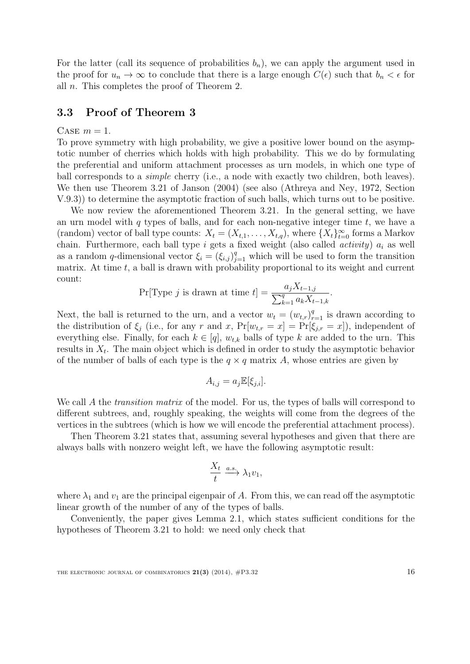For the latter (call its sequence of probabilities  $b_n$ ), we can apply the argument used in the proof for  $u_n \to \infty$  to conclude that there is a large enough  $C(\epsilon)$  such that  $b_n < \epsilon$  for all n. This completes the proof of Theorem [2.](#page-5-0)

#### <span id="page-15-0"></span>3.3 Proof of Theorem [3](#page-6-0)

#### CASE  $m = 1$ .

To prove symmetry with high probability, we give a positive lower bound on the asymptotic number of cherries which holds with high probability. This we do by formulating the preferential and uniform attachment processes as urn models, in which one type of ball corresponds to a *simple* cherry (i.e., a node with exactly two children, both leaves). We then use Theorem 3.21 of [Janson](#page-23-8) [\(2004\)](#page-23-8) (see also [\(Athreya and Ney,](#page-22-3) [1972,](#page-22-3) Section V.9.3)) to determine the asymptotic fraction of such balls, which turns out to be positive.

We now review the aforementioned Theorem 3.21. In the general setting, we have an urn model with  $q$  types of balls, and for each non-negative integer time  $t$ , we have a (random) vector of ball type counts:  $X_t = (X_{t,1}, \ldots, X_{t,q})$ , where  $\{X_t\}_{t=0}^{\infty}$  forms a Markov chain. Furthermore, each ball type i gets a fixed weight (also called *activity*)  $a_i$  as well as a random q-dimensional vector  $\xi_i = (\xi_{i,j})_{j=1}^q$  which will be used to form the transition matrix. At time  $t$ , a ball is drawn with probability proportional to its weight and current count:

$$
\Pr[\text{Type } j \text{ is drawn at time } t] = \frac{a_j X_{t-1,j}}{\sum_{k=1}^q a_k X_{t-1,k}}
$$

.

Next, the ball is returned to the urn, and a vector  $w_t = (w_{t,r})_{r=1}^q$  is drawn according to the distribution of  $\xi_i$  (i.e., for any r and x,  $Pr[w_{t,r} = x] = Pr[\xi_{j,r} = x]$ ), independent of everything else. Finally, for each  $k \in [q]$ ,  $w_{t,k}$  balls of type k are added to the urn. This results in  $X_t$ . The main object which is defined in order to study the asymptotic behavior of the number of balls of each type is the  $q \times q$  matrix A, whose entries are given by

$$
A_{i,j} = a_j \mathbb{E}[\xi_{j,i}].
$$

We call A the *transition matrix* of the model. For us, the types of balls will correspond to different subtrees, and, roughly speaking, the weights will come from the degrees of the vertices in the subtrees (which is how we will encode the preferential attachment process).

Then Theorem 3.21 states that, assuming several hypotheses and given that there are always balls with nonzero weight left, we have the following asymptotic result:

$$
\frac{X_t}{t} \xrightarrow{a.s.} \lambda_1 v_1,
$$

where  $\lambda_1$  and  $v_1$  are the principal eigenpair of A. From this, we can read off the asymptotic linear growth of the number of any of the types of balls.

Conveniently, the paper gives Lemma 2.1, which states sufficient conditions for the hypotheses of Theorem 3.21 to hold: we need only check that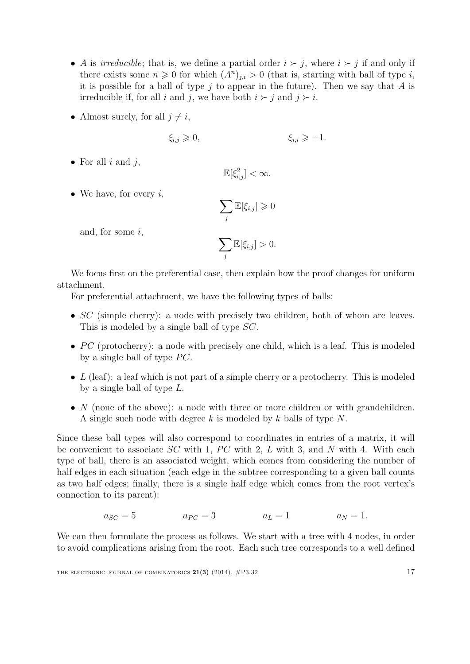- A is irreducible; that is, we define a partial order  $i \succ j$ , where  $i \succ j$  if and only if there exists some  $n \geq 0$  for which  $(A^n)_{j,i} > 0$  (that is, starting with ball of type i, it is possible for a ball of type  $j$  to appear in the future). Then we say that  $A$  is irreducible if, for all i and j, we have both  $i \succ j$  and  $j \succ i$ .
- Almost surely, for all  $j \neq i$ ,

$$
\xi_{i,j} \geqslant 0, \qquad \xi_{i,i} \geqslant -1.
$$

• For all  $i$  and  $j$ ,

$$
\mathbb{E}[\xi_{i,j}^2]<\infty.
$$

• We have, for every  $i$ ,

$$
\sum_j \mathbb{E}[\xi_{i,j}] \geqslant 0
$$

and, for some i,

$$
\sum_j \mathbb{E}[\xi_{i,j}] > 0.
$$

We focus first on the preferential case, then explain how the proof changes for uniform attachment.

For preferential attachment, we have the following types of balls:

- $SC$  (simple cherry): a node with precisely two children, both of whom are leaves. This is modeled by a single ball of type  $SC$ .
- $PC$  (protocherry): a node with precisely one child, which is a leaf. This is modeled by a single ball of type  $PC$ .
- L (leaf): a leaf which is not part of a simple cherry or a protocherry. This is modeled by a single ball of type L.
- $N$  (none of the above): a node with three or more children or with grandchildren. A single such node with degree k is modeled by k balls of type  $N$ .

Since these ball types will also correspond to coordinates in entries of a matrix, it will be convenient to associate  $SC$  with 1,  $PC$  with 2, L with 3, and N with 4. With each type of ball, there is an associated weight, which comes from considering the number of half edges in each situation (each edge in the subtree corresponding to a given ball counts as two half edges; finally, there is a single half edge which comes from the root vertex's connection to its parent):

$$
a_{SC} = 5 \qquad \qquad a_{PC} = 3 \qquad \qquad a_L = 1 \qquad \qquad a_N = 1.
$$

We can then formulate the process as follows. We start with a tree with 4 nodes, in order to avoid complications arising from the root. Each such tree corresponds to a well defined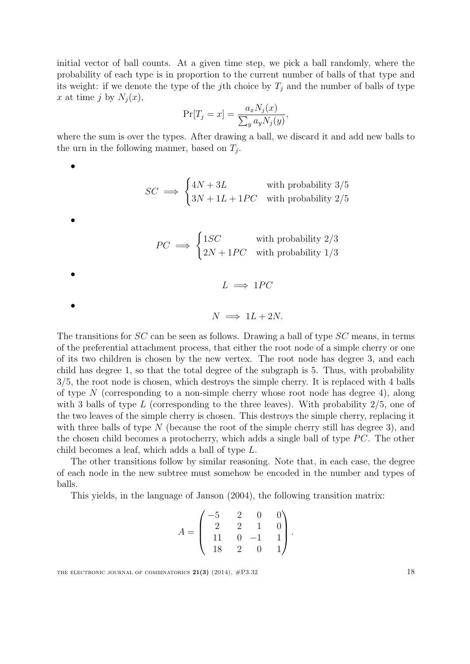initial vector of ball counts. At a given time step, we pick a ball randomly, where the probability of each type is in proportion to the current number of balls of that type and its weight: if we denote the type of the jth choice by  $T_j$  and the number of balls of type x at time j by  $N_j(x)$ ,

$$
\Pr[T_j = x] = \frac{a_x N_j(x)}{\sum_y a_y N_j(y)},
$$

where the sum is over the types. After drawing a ball, we discard it and add new balls to the urn in the following manner, based on  $T_j$ .

$$
SC \implies \begin{cases} 4N + 3L & \text{with probability } 3/5 \\ 3N + 1L + 1PC & \text{with probability } 2/5 \end{cases}
$$

$$
PC \implies \begin{cases} 1SC & \text{with probability } 2/3\\ 2N + 1PC & \text{with probability } 1/3 \end{cases}
$$

 $L \implies 1PC$  $N \implies 1L + 2N$ .

•

•

•

•

The transitions for SC can be seen as follows. Drawing a ball of type SC means, in terms of the preferential attachment process, that either the root node of a simple cherry or one of its two children is chosen by the new vertex. The root node has degree 3, and each child has degree 1, so that the total degree of the subgraph is 5. Thus, with probability 3/5, the root node is chosen, which destroys the simple cherry. It is replaced with 4 balls of type  $N$  (corresponding to a non-simple cherry whose root node has degree 4), along with 3 balls of type L (corresponding to the three leaves). With probability  $2/5$ , one of the two leaves of the simple cherry is chosen. This destroys the simple cherry, replacing it with three balls of type  $N$  (because the root of the simple cherry still has degree 3), and the chosen child becomes a protocherry, which adds a single ball of type  $PC$ . The other child becomes a leaf, which adds a ball of type L.

The other transitions follow by similar reasoning. Note that, in each case, the degree of each node in the new subtree must somehow be encoded in the number and types of balls.

This yields, in the language of [Janson](#page-23-8) [\(2004\)](#page-23-8), the following transition matrix:

$$
A = \begin{pmatrix} -5 & 2 & 0 & 0 \\ 2 & 2 & 1 & 0 \\ 11 & 0 & -1 & 1 \\ 18 & 2 & 0 & 1 \end{pmatrix}.
$$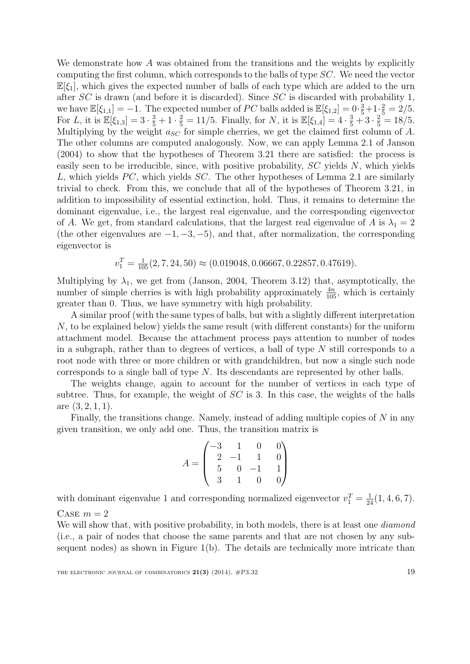We demonstrate how A was obtained from the transitions and the weights by explicitly computing the first column, which corresponds to the balls of type SC. We need the vector  $\mathbb{E}[\xi_1]$ , which gives the expected number of balls of each type which are added to the urn after SC is drawn (and before it is discarded). Since SC is discarded with probability 1, we have  $\mathbb{E}[\xi_{1,1}] = -1$ . The expected number of PC balls added is  $\mathbb{E}[\xi_{1,2}] = 0 \cdot \frac{3}{5} + 1 \cdot \frac{2}{5} = 2/5$ . For L, it is  $\mathbb{E}[\xi_{1,3}] = 3 \cdot \frac{3}{5} + 1 \cdot \frac{2}{5} = 11/5$ . Finally, for N, it is  $\mathbb{E}[\xi_{1,4}] = 4 \cdot \frac{3}{5} + 3 \cdot \frac{2}{5} = 18/5$ . Multiplying by the weight  $a_{SC}$  for simple cherries, we get the claimed first column of A. The other columns are computed analogously. Now, we can apply Lemma 2.1 of [Janson](#page-23-8) [\(2004\)](#page-23-8) to show that the hypotheses of Theorem 3.21 there are satisfied: the process is easily seen to be irreducible, since, with positive probability, SC yields N, which yields L, which yields  $PC$ , which yields  $SC$ . The other hypotheses of Lemma 2.1 are similarly trivial to check. From this, we conclude that all of the hypotheses of Theorem 3.21, in addition to impossibility of essential extinction, hold. Thus, it remains to determine the dominant eigenvalue, i.e., the largest real eigenvalue, and the corresponding eigenvector of A. We get, from standard calculations, that the largest real eigenvalue of A is  $\lambda_1 = 2$ (the other eigenvalues are  $-1, -3, -5$ ), and that, after normalization, the corresponding eigenvector is

$$
v_1^T = \frac{1}{105}(2, 7, 24, 50) \approx (0.019048, 0.06667, 0.22857, 0.47619).
$$

Multiplying by  $\lambda_1$ , we get from [\(Janson,](#page-23-8) [2004,](#page-23-8) Theorem 3.12) that, asymptotically, the number of simple cherries is with high probability approximately  $\frac{4n}{105}$ , which is certainly greater than 0. Thus, we have symmetry with high probability.

A similar proof (with the same types of balls, but with a slightly different interpretation N, to be explained below) yields the same result (with different constants) for the uniform attachment model. Because the attachment process pays attention to number of nodes in a subgraph, rather than to degrees of vertices, a ball of type  $N$  still corresponds to a root node with three or more children or with grandchildren, but now a single such node corresponds to a single ball of type N. Its descendants are represented by other balls.

The weights change, again to account for the number of vertices in each type of subtree. Thus, for example, the weight of  $SC$  is 3. In this case, the weights of the balls are (3, 2, 1, 1).

Finally, the transitions change. Namely, instead of adding multiple copies of  $N$  in any given transition, we only add one. Thus, the transition matrix is

$$
A = \begin{pmatrix} -3 & 1 & 0 & 0 \\ 2 & -1 & 1 & 0 \\ 5 & 0 & -1 & 1 \\ 3 & 1 & 0 & 0 \end{pmatrix}
$$

with dominant eigenvalue 1 and corresponding normalized eigenvector  $v_1^T = \frac{1}{24}(1, 4, 6, 7)$ .

CASE  $m = 2$ 

We will show that, with positive probability, in both models, there is at least one *diamond* (i.e., a pair of nodes that choose the same parents and that are not chosen by any subsequent nodes) as shown in Figure [1\(](#page-5-1)b). The details are technically more intricate than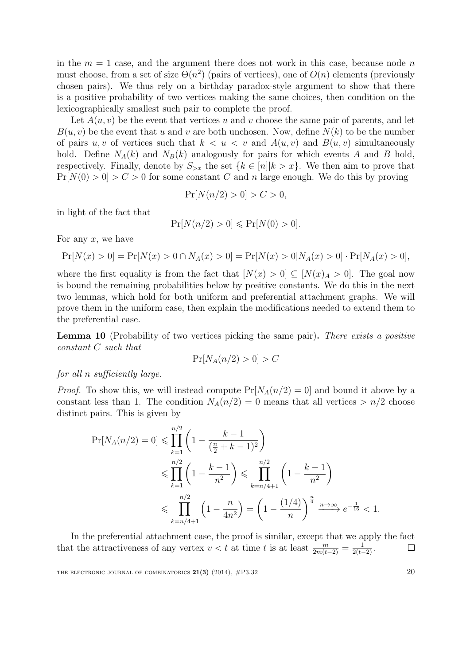in the  $m = 1$  case, and the argument there does not work in this case, because node n must choose, from a set of size  $\Theta(n^2)$  (pairs of vertices), one of  $O(n)$  elements (previously chosen pairs). We thus rely on a birthday paradox-style argument to show that there is a positive probability of two vertices making the same choices, then condition on the lexicographically smallest such pair to complete the proof.

Let  $A(u, v)$  be the event that vertices u and v choose the same pair of parents, and let  $B(u, v)$  be the event that u and v are both unchosen. Now, define  $N(k)$  to be the number of pairs u, v of vertices such that  $k < u < v$  and  $A(u, v)$  and  $B(u, v)$  simultaneously hold. Define  $N_A(k)$  and  $N_B(k)$  analogously for pairs for which events A and B hold, respectively. Finally, denote by  $S_{\gt x}$  the set  $\{k \in [n]| k > x\}$ . We then aim to prove that  $Pr[N(0) > 0] > C > 0$  for some constant C and n large enough. We do this by proving

$$
\Pr[N(n/2) > 0] > C > 0,
$$

in light of the fact that

$$
\Pr[N(n/2) > 0] \le \Pr[N(0) > 0].
$$

For any  $x$ , we have

$$
Pr[N(x) > 0] = Pr[N(x) > 0 \cap N_A(x) > 0] = Pr[N(x) > 0|N_A(x) > 0] \cdot Pr[N_A(x) > 0],
$$

where the first equality is from the fact that  $[N(x) > 0] \subseteq [N(x)_A > 0]$ . The goal now is bound the remaining probabilities below by positive constants. We do this in the next two lemmas, which hold for both uniform and preferential attachment graphs. We will prove them in the uniform case, then explain the modifications needed to extend them to the preferential case.

Lemma 10 (Probability of two vertices picking the same pair). There exists a positive constant C such that

$$
\Pr[N_A(n/2) > 0] > C
$$

for all n sufficiently large.

*Proof.* To show this, we will instead compute  $Pr[N_A(n/2) = 0]$  and bound it above by a constant less than 1. The condition  $N_A(n/2) = 0$  means that all vertices  $>n/2$  choose distinct pairs. This is given by

$$
\Pr[N_A(n/2) = 0] \le \prod_{k=1}^{n/2} \left(1 - \frac{k-1}{(\frac{n}{2} + k - 1)^2}\right)
$$
  

$$
\le \prod_{k=1}^{n/2} \left(1 - \frac{k-1}{n^2}\right) \le \prod_{k=n/4+1}^{n/2} \left(1 - \frac{k-1}{n^2}\right)
$$
  

$$
\le \prod_{k=n/4+1}^{n/2} \left(1 - \frac{n}{4n^2}\right) = \left(1 - \frac{(1/4)}{n}\right)^{\frac{n}{4}} \xrightarrow{n \to \infty} e^{-\frac{1}{16}} < 1.
$$

In the preferential attachment case, the proof is similar, except that we apply the fact that the attractiveness of any vertex  $v < t$  at time t is at least  $\frac{m}{2m(t-2)} = \frac{1}{2(t-2)}$ .  $\Box$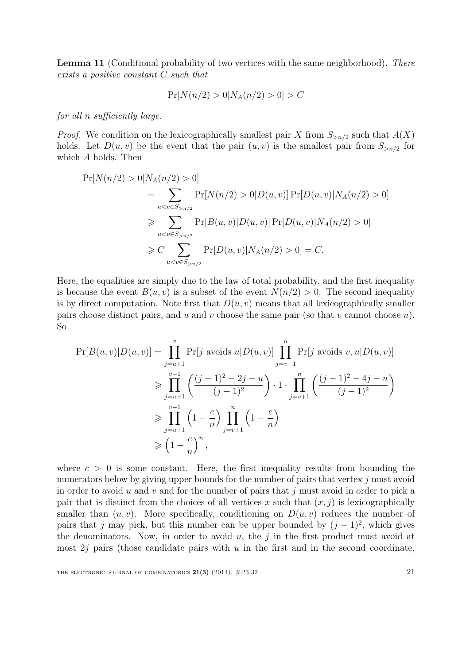Lemma 11 (Conditional probability of two vertices with the same neighborhood). There exists a positive constant C such that

$$
\Pr[N(n/2) > 0 | N_A(n/2) > 0] > C
$$

for all n sufficiently large.

*Proof.* We condition on the lexicographically smallest pair X from  $S_{>n/2}$  such that  $A(X)$ holds. Let  $D(u, v)$  be the event that the pair  $(u, v)$  is the smallest pair from  $S_{>n/2}$  for which A holds. Then

$$
\Pr[N(n/2) > 0 | N_A(n/2) > 0] \\
= \sum_{u < v \in S_{>n/2}} \Pr[N(n/2) > 0 | D(u, v)] \Pr[D(u, v) | N_A(n/2) > 0] \\
\geq \sum_{u < v \in S_{>n/2}} \Pr[B(u, v) | D(u, v)] \Pr[D(u, v) | N_A(n/2) > 0] \\
\geq C \sum_{u < v \in S_{>n/2}} \Pr[D(u, v) | N_A(n/2) > 0] = C.
$$

Here, the equalities are simply due to the law of total probability, and the first inequality is because the event  $B(u, v)$  is a subset of the event  $N(n/2) > 0$ . The second inequality is by direct computation. Note first that  $D(u, v)$  means that all lexicographically smaller pairs choose distinct pairs, and u and v choose the same pair (so that v cannot choose  $u$ ). So

$$
\Pr[B(u,v)|D(u,v)] = \prod_{j=u+1}^{v} \Pr[j \text{ avoids } u|D(u,v)] \prod_{j=v+1}^{n} \Pr[j \text{ avoids } v, u|D(u,v)]
$$
  
\n
$$
\geq \prod_{j=u+1}^{v-1} \left( \frac{(j-1)^2 - 2j - u}{(j-1)^2} \right) \cdot 1 \cdot \prod_{j=v+1}^{n} \left( \frac{(j-1)^2 - 4j - u}{(j-1)^2} \right)
$$
  
\n
$$
\geq \prod_{j=u+1}^{v-1} \left( 1 - \frac{c}{n} \right) \prod_{j=v+1}^{n} \left( 1 - \frac{c}{n} \right)
$$
  
\n
$$
\geq \left( 1 - \frac{c}{n} \right)^n,
$$

where  $c > 0$  is some constant. Here, the first inequality results from bounding the numerators below by giving upper bounds for the number of pairs that vertex  $j$  must avoid in order to avoid u and v and for the number of pairs that  $j$  must avoid in order to pick a pair that is distinct from the choices of all vertices x such that  $(x, j)$  is lexicographically smaller than  $(u, v)$ . More specifically, conditioning on  $D(u, v)$  reduces the number of pairs that j may pick, but this number can be upper bounded by  $(j-1)^2$ , which gives the denominators. Now, in order to avoid  $u$ , the j in the first product must avoid at most  $2j$  pairs (those candidate pairs with u in the first and in the second coordinate,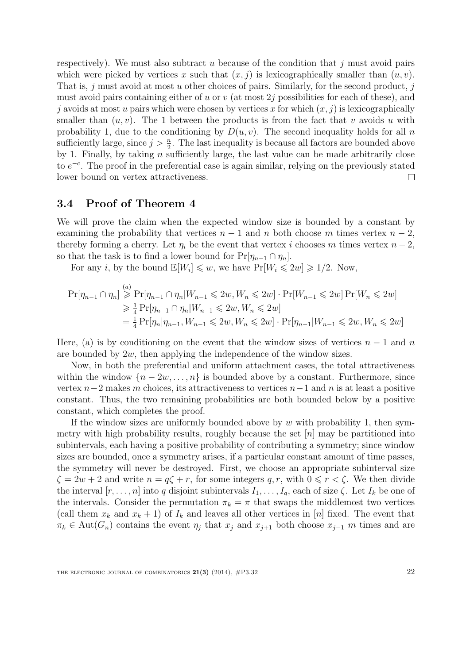respectively). We must also subtract u because of the condition that  $j$  must avoid pairs which were picked by vertices x such that  $(x, j)$  is lexicographically smaller than  $(u, v)$ . That is, j must avoid at most u other choices of pairs. Similarly, for the second product, j must avoid pairs containing either of u or  $v$  (at most 2j possibilities for each of these), and j avoids at most u pairs which were chosen by vertices x for which  $(x, j)$  is lexicographically smaller than  $(u, v)$ . The 1 between the products is from the fact that v avoids u with probability 1, due to the conditioning by  $D(u, v)$ . The second inequality holds for all n sufficiently large, since  $j > \frac{n}{2}$ . The last inequality is because all factors are bounded above by 1. Finally, by taking  $n$  sufficiently large, the last value can be made arbitrarily close to  $e^{-c}$ . The proof in the preferential case is again similar, relying on the previously stated lower bound on vertex attractiveness.  $\Box$ 

## 3.4 Proof of Theorem [4](#page-7-1)

We will prove the claim when the expected window size is bounded by a constant by examining the probability that vertices  $n-1$  and n both choose m times vertex  $n-2$ , thereby forming a cherry. Let  $\eta_i$  be the event that vertex i chooses m times vertex  $n-2$ , so that the task is to find a lower bound for  $Pr[\eta_{n-1} \cap \eta_n]$ .

For any *i*, by the bound  $\mathbb{E}[W_i] \leq w$ , we have  $\Pr[W_i \leq 2w] \geq 1/2$ . Now,

$$
\Pr[\eta_{n-1} \cap \eta_n] \stackrel{(a)}{\geq} \Pr[\eta_{n-1} \cap \eta_n | W_{n-1} \leq 2w, W_n \leq 2w] \cdot \Pr[W_{n-1} \leq 2w] \Pr[W_n \leq 2w]
$$
  
\n
$$
\geq \frac{1}{4} \Pr[\eta_{n-1} \cap \eta_n | W_{n-1} \leq 2w, W_n \leq 2w]
$$
  
\n
$$
= \frac{1}{4} \Pr[\eta_n | \eta_{n-1}, W_{n-1} \leq 2w, W_n \leq 2w] \cdot \Pr[\eta_{n-1} | W_{n-1} \leq 2w, W_n \leq 2w]
$$

Here, (a) is by conditioning on the event that the window sizes of vertices  $n-1$  and n are bounded by 2w, then applying the independence of the window sizes.

Now, in both the preferential and uniform attachment cases, the total attractiveness within the window  $\{n-2w,\ldots,n\}$  is bounded above by a constant. Furthermore, since vertex  $n-2$  makes m choices, its attractiveness to vertices  $n-1$  and n is at least a positive constant. Thus, the two remaining probabilities are both bounded below by a positive constant, which completes the proof.

If the window sizes are uniformly bounded above by  $w$  with probability 1, then symmetry with high probability results, roughly because the set  $[n]$  may be partitioned into subintervals, each having a positive probability of contributing a symmetry; since window sizes are bounded, once a symmetry arises, if a particular constant amount of time passes, the symmetry will never be destroyed. First, we choose an appropriate subinterval size  $\zeta = 2w + 2$  and write  $n = q\zeta + r$ , for some integers q, r, with  $0 \le r < \zeta$ . We then divide the interval  $[r, \ldots, n]$  into q disjoint subintervals  $I_1, \ldots, I_q$ , each of size  $\zeta$ . Let  $I_k$  be one of the intervals. Consider the permutation  $\pi_k = \pi$  that swaps the middlemost two vertices (call them  $x_k$  and  $x_k + 1$ ) of  $I_k$  and leaves all other vertices in [n] fixed. The event that  $\pi_k \in \text{Aut}(G_n)$  contains the event  $\eta_j$  that  $x_j$  and  $x_{j+1}$  both choose  $x_{j-1}$  m times and are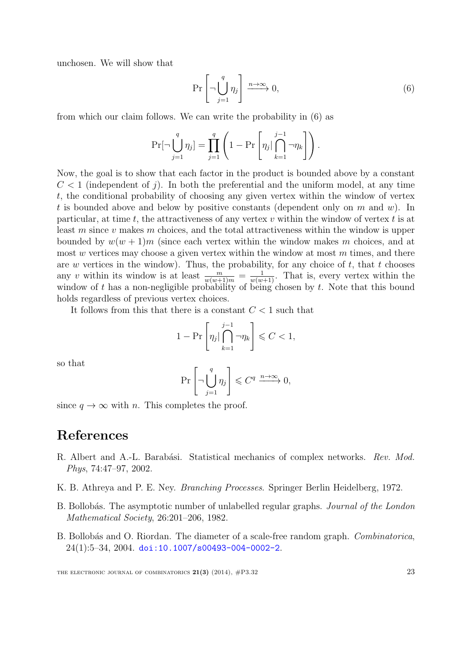unchosen. We will show that

<span id="page-22-4"></span>
$$
\Pr\left[\neg \bigcup_{j=1}^{q} \eta_j\right] \xrightarrow{n \to \infty} 0,\tag{6}
$$

from which our claim follows. We can write the probability in [\(6\)](#page-22-4) as

$$
\Pr[\neg \bigcup_{j=1}^{q} \eta_j] = \prod_{j=1}^{q} \left(1 - \Pr\left[\eta_j | \bigcap_{k=1}^{j-1} \neg \eta_k\right]\right).
$$

Now, the goal is to show that each factor in the product is bounded above by a constant  $C < 1$  (independent of j). In both the preferential and the uniform model, at any time t, the conditional probability of choosing any given vertex within the window of vertex t is bounded above and below by positive constants (dependent only on m and w). In particular, at time t, the attractiveness of any vertex  $v$  within the window of vertex  $t$  is at least m since v makes m choices, and the total attractiveness within the window is upper bounded by  $w(w + 1)m$  (since each vertex within the window makes m choices, and at most  $w$  vertices may choose a given vertex within the window at most  $m$  times, and there are  $w$  vertices in the window). Thus, the probability, for any choice of  $t$ , that  $t$  chooses any v within its window is at least  $\frac{m}{w(w+1)m} = \frac{1}{w(w+1)}$ . That is, every vertex within the window of t has a non-negligible probability of being chosen by  $t$ . Note that this bound holds regardless of previous vertex choices.

It follows from this that there is a constant  $C < 1$  such that

$$
1 - \Pr\left[\eta_j | \bigcap_{k=1}^{j-1} \neg \eta_k\right] \leq C < 1,
$$

so that

$$
\Pr\left[\neg \bigcup_{j=1}^{q} \eta_j\right] \leqslant C^q \xrightarrow{n \to \infty} 0,
$$

since  $q \to \infty$  with n. This completes the proof.

# References

- <span id="page-22-0"></span>R. Albert and A.-L. Barabási. Statistical mechanics of complex networks. Rev. Mod. Phys, 74:47–97, 2002.
- <span id="page-22-3"></span>K. B. Athreya and P. E. Ney. Branching Processes. Springer Berlin Heidelberg, 1972.
- <span id="page-22-1"></span>B. Bollobás. The asymptotic number of unlabelled regular graphs. *Journal of the London* Mathematical Society, 26:201–206, 1982.
- <span id="page-22-2"></span>B. Bollobás and O. Riordan. The diameter of a scale-free random graph. Combinatorica,  $24(1):5-34, 2004.$  [doi:10.1007/s00493-004-0002-2](http://dx.doi.org/10.1007/s00493-004-0002-2).